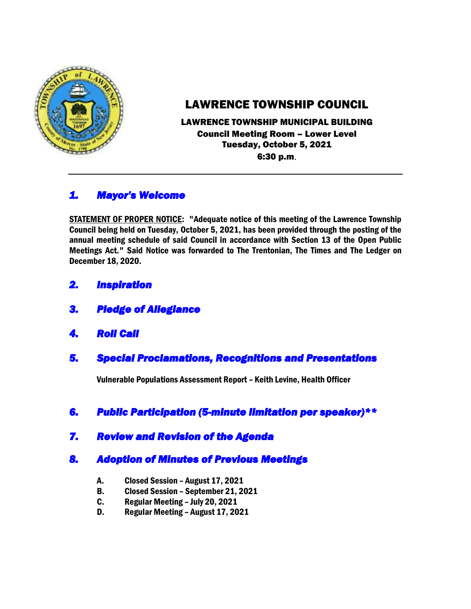

# LAWRENCE TOWNSHIP COUNCIL

LAWRENCE TOWNSHIP MUNICIPAL BUILDING Council Meeting Room – Lower Level Tuesday, October 5, 2021 6:30 p.m.

## *1. Mayor's Welcome*

STATEMENT OF PROPER NOTICE: "Adequate notice of this meeting of the Lawrence Township Council being held on Tuesday, October 5, 2021, has been provided through the posting of the annual meeting schedule of said Council in accordance with Section 13 of the Open Public Meetings Act." Said Notice was forwarded to The Trentonian, The Times and The Ledger on December 18, 2020.

- *2. Inspiration*
- *3. Pledge of Allegiance*
- *4. Roll Call*
- *5. Special Proclamations, Recognitions and Presentations*

Vulnerable Populations Assessment Report – Keith Levine, Health Officer

- *6. Public Participation (5-minute limitation per speaker)\*\**
- *7. Review and Revision of the Agenda*

## *8. Adoption of Minutes of Previous Meetings*

- A. Closed Session August 17, 2021
- B. Closed Session September 21, 2021
- C. Regular Meeting July 20, 2021
- D. Regular Meeting August 17, 2021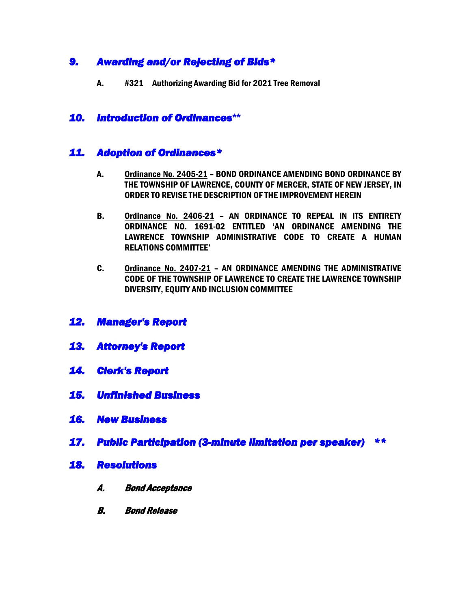## *9. Awarding and/or Rejecting of Bids\**

A. #321 Authorizing Awarding Bid for 2021 Tree Removal

### *10. Introduction of Ordinances***\*\***

### *11. Adoption of Ordinances\**

- A. Ordinance No. 2405-21 BOND ORDINANCE AMENDING BOND ORDINANCE BY THE TOWNSHIP OF LAWRENCE, COUNTY OF MERCER, STATE OF NEW JERSEY, IN ORDER TO REVISE THE DESCRIPTION OF THE IMPROVEMENT HEREIN
- B. Ordinance No. 2406-21 AN ORDINANCE TO REPEAL IN ITS ENTIRETY ORDINANCE NO. 1691-02 ENTITLED 'AN ORDINANCE AMENDING THE LAWRENCE TOWNSHIP ADMINISTRATIVE CODE TO CREATE A HUMAN RELATIONS COMMITTEE'
- C. Ordinance No. 2407-21 AN ORDINANCE AMENDING THE ADMINISTRATIVE CODE OF THE TOWNSHIP OF LAWRENCE TO CREATE THE LAWRENCE TOWNSHIP DIVERSITY, EQUITY AND INCLUSION COMMITTEE
- *12. Manager's Report*
- *13. Attorney's Report*
- *14. Clerk's Report*
- *15. Unfinished Business*
- *16. New Business*
- *17. Public Participation (3-minute limitation per speaker) \*\**
- *18. Resolutions* 
	- A. Bond Acceptance
	- B. Bond Release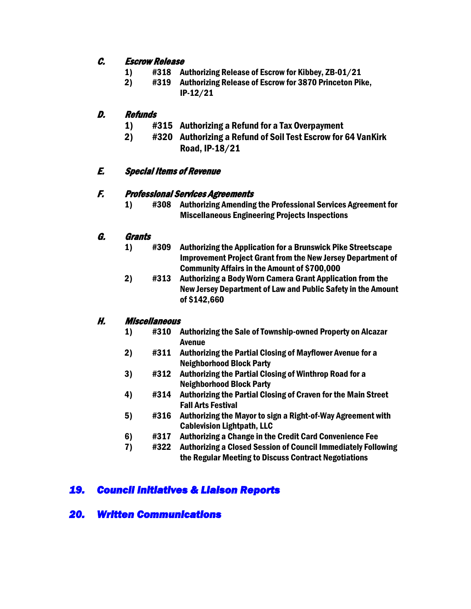#### C. Escrow Release

- 1) #318 Authorizing Release of Escrow for Kibbey, ZB-01/21
- 2) #319 Authorizing Release of Escrow for 3870 Princeton Pike, IP-12/21

#### D. Refunds

- 1) #315 Authorizing a Refund for a Tax Overpayment
- 2) #320 Authorizing a Refund of Soil Test Escrow for 64 VanKirk Road, IP-18/21

### E. Special Items of Revenue

#### F. Professional Services Agreements

 1) #308 Authorizing Amending the Professional Services Agreement for Miscellaneous Engineering Projects Inspections

#### G. Grants

- 1) #309 Authorizing the Application for a Brunswick Pike Streetscape Improvement Project Grant from the New Jersey Department of Community Affairs in the Amount of \$700,000
- 2) #313 Authorizing a Body Worn Camera Grant Application from the New Jersey Department of Law and Public Safety in the Amount of \$142,660

### H. Miscellaneous

- 1) #310 Authorizing the Sale of Township-owned Property on Alcazar Avenue
- 2) #311 Authorizing the Partial Closing of Mayflower Avenue for a Neighborhood Block Party
- 3) #312 Authorizing the Partial Closing of Winthrop Road for a Neighborhood Block Party
- 4) #314 Authorizing the Partial Closing of Craven for the Main Street Fall Arts Festival
- 5) #316 Authorizing the Mayor to sign a Right-of-Way Agreement with Cablevision Lightpath, LLC
- 6) #317 Authorizing a Change in the Credit Card Convenience Fee
- 7) #322 Authorizing a Closed Session of Council Immediately Following the Regular Meeting to Discuss Contract Negotiations

## *19. Council Initiatives & Liaison Reports*

## *20. Written Communications*